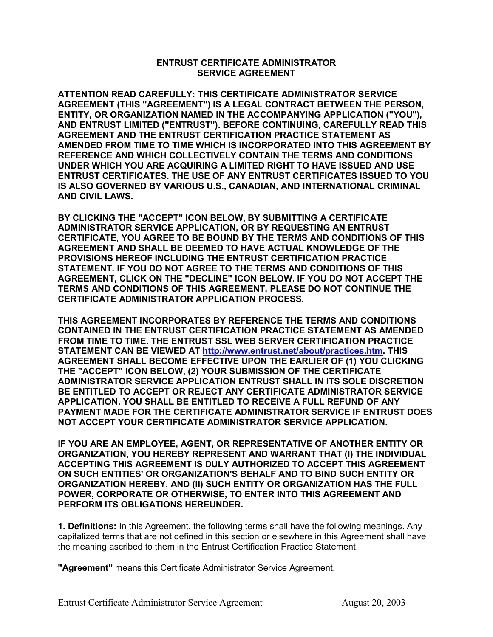## **ENTRUST CERTIFICATE ADMINISTRATOR SERVICE AGREEMENT**

**ATTENTION READ CAREFULLY: THIS CERTIFICATE ADMINISTRATOR SERVICE AGREEMENT (THIS "AGREEMENT") IS A LEGAL CONTRACT BETWEEN THE PERSON, ENTITY, OR ORGANIZATION NAMED IN THE ACCOMPANYING APPLICATION ("YOU"), AND ENTRUST LIMITED ("ENTRUST"). BEFORE CONTINUING, CAREFULLY READ THIS AGREEMENT AND THE ENTRUST CERTIFICATION PRACTICE STATEMENT AS AMENDED FROM TIME TO TIME WHICH IS INCORPORATED INTO THIS AGREEMENT BY REFERENCE AND WHICH COLLECTIVELY CONTAIN THE TERMS AND CONDITIONS UNDER WHICH YOU ARE ACQUIRING A LIMITED RIGHT TO HAVE ISSUED AND USE ENTRUST CERTIFICATES. THE USE OF ANY ENTRUST CERTIFICATES ISSUED TO YOU IS ALSO GOVERNED BY VARIOUS U.S., CANADIAN, AND INTERNATIONAL CRIMINAL AND CIVIL LAWS.** 

**BY CLICKING THE "ACCEPT" ICON BELOW, BY SUBMITTING A CERTIFICATE ADMINISTRATOR SERVICE APPLICATION, OR BY REQUESTING AN ENTRUST CERTIFICATE, YOU AGREE TO BE BOUND BY THE TERMS AND CONDITIONS OF THIS AGREEMENT AND SHALL BE DEEMED TO HAVE ACTUAL KNOWLEDGE OF THE PROVISIONS HEREOF INCLUDING THE ENTRUST CERTIFICATION PRACTICE STATEMENT. IF YOU DO NOT AGREE TO THE TERMS AND CONDITIONS OF THIS AGREEMENT, CLICK ON THE "DECLINE" ICON BELOW. IF YOU DO NOT ACCEPT THE TERMS AND CONDITIONS OF THIS AGREEMENT, PLEASE DO NOT CONTINUE THE CERTIFICATE ADMINISTRATOR APPLICATION PROCESS.** 

**THIS AGREEMENT INCORPORATES BY REFERENCE THE TERMS AND CONDITIONS CONTAINED IN THE ENTRUST CERTIFICATION PRACTICE STATEMENT AS AMENDED FROM TIME TO TIME. THE ENTRUST SSL WEB SERVER CERTIFICATION PRACTICE STATEMENT CAN BE VIEWED AT [http://www.entrust.net/about/practices.htm.](http://www.entrust.net/about/practices.htm) THIS AGREEMENT SHALL BECOME EFFECTIVE UPON THE EARLIER OF (1) YOU CLICKING THE "ACCEPT" ICON BELOW, (2) YOUR SUBMISSION OF THE CERTIFICATE ADMINISTRATOR SERVICE APPLICATION ENTRUST SHALL IN ITS SOLE DISCRETION BE ENTITLED TO ACCEPT OR REJECT ANY CERTIFICATE ADMINISTRATOR SERVICE APPLICATION. YOU SHALL BE ENTITLED TO RECEIVE A FULL REFUND OF ANY PAYMENT MADE FOR THE CERTIFICATE ADMINISTRATOR SERVICE IF ENTRUST DOES NOT ACCEPT YOUR CERTIFICATE ADMINISTRATOR SERVICE APPLICATION.** 

**IF YOU ARE AN EMPLOYEE, AGENT, OR REPRESENTATIVE OF ANOTHER ENTITY OR ORGANIZATION, YOU HEREBY REPRESENT AND WARRANT THAT (I) THE INDIVIDUAL ACCEPTING THIS AGREEMENT IS DULY AUTHORIZED TO ACCEPT THIS AGREEMENT ON SUCH ENTITIES' OR ORGANIZATION'S BEHALF AND TO BIND SUCH ENTITY OR ORGANIZATION HEREBY, AND (II) SUCH ENTITY OR ORGANIZATION HAS THE FULL POWER, CORPORATE OR OTHERWISE, TO ENTER INTO THIS AGREEMENT AND PERFORM ITS OBLIGATIONS HEREUNDER.**

**1. Definitions:** In this Agreement, the following terms shall have the following meanings. Any capitalized terms that are not defined in this section or elsewhere in this Agreement shall have the meaning ascribed to them in the Entrust Certification Practice Statement.

**"Agreement"** means this Certificate Administrator Service Agreement.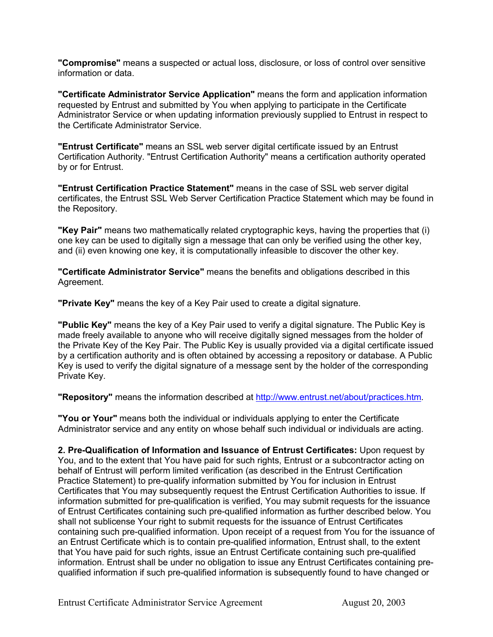**"Compromise"** means a suspected or actual loss, disclosure, or loss of control over sensitive information or data.

**"Certificate Administrator Service Application"** means the form and application information requested by Entrust and submitted by You when applying to participate in the Certificate Administrator Service or when updating information previously supplied to Entrust in respect to the Certificate Administrator Service.

**"Entrust Certificate"** means an SSL web server digital certificate issued by an Entrust Certification Authority. "Entrust Certification Authority" means a certification authority operated by or for Entrust.

**"Entrust Certification Practice Statement"** means in the case of SSL web server digital certificates, the Entrust SSL Web Server Certification Practice Statement which may be found in the Repository.

**"Key Pair"** means two mathematically related cryptographic keys, having the properties that (i) one key can be used to digitally sign a message that can only be verified using the other key, and (ii) even knowing one key, it is computationally infeasible to discover the other key.

**"Certificate Administrator Service"** means the benefits and obligations described in this Agreement.

**"Private Key"** means the key of a Key Pair used to create a digital signature.

**"Public Key"** means the key of a Key Pair used to verify a digital signature. The Public Key is made freely available to anyone who will receive digitally signed messages from the holder of the Private Key of the Key Pair. The Public Key is usually provided via a digital certificate issued by a certification authority and is often obtained by accessing a repository or database. A Public Key is used to verify the digital signature of a message sent by the holder of the corresponding Private Key.

**"Repository"** means the information described at [http://www.entrust.net/about/practices.htm.](http://www.entrust.net/about/practices.htm)

**"You or Your"** means both the individual or individuals applying to enter the Certificate Administrator service and any entity on whose behalf such individual or individuals are acting.

**2. Pre-Qualification of Information and Issuance of Entrust Certificates:** Upon request by You, and to the extent that You have paid for such rights, Entrust or a subcontractor acting on behalf of Entrust will perform limited verification (as described in the Entrust Certification Practice Statement) to pre-qualify information submitted by You for inclusion in Entrust Certificates that You may subsequently request the Entrust Certification Authorities to issue. If information submitted for pre-qualification is verified, You may submit requests for the issuance of Entrust Certificates containing such pre-qualified information as further described below. You shall not sublicense Your right to submit requests for the issuance of Entrust Certificates containing such pre-qualified information. Upon receipt of a request from You for the issuance of an Entrust Certificate which is to contain pre-qualified information, Entrust shall, to the extent that You have paid for such rights, issue an Entrust Certificate containing such pre-qualified information. Entrust shall be under no obligation to issue any Entrust Certificates containing prequalified information if such pre-qualified information is subsequently found to have changed or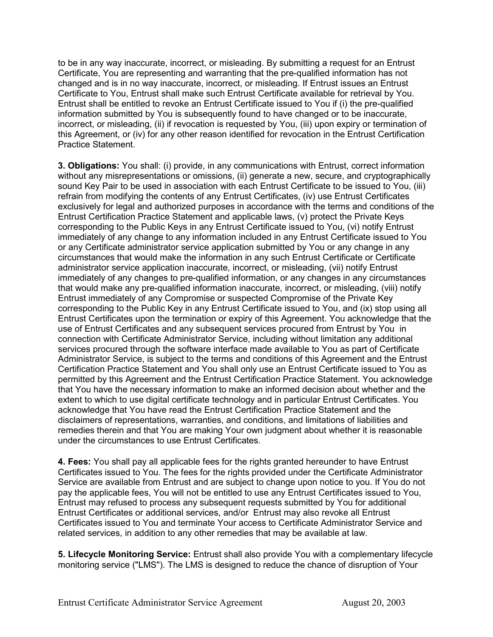to be in any way inaccurate, incorrect, or misleading. By submitting a request for an Entrust Certificate, You are representing and warranting that the pre-qualified information has not changed and is in no way inaccurate, incorrect, or misleading. If Entrust issues an Entrust Certificate to You, Entrust shall make such Entrust Certificate available for retrieval by You. Entrust shall be entitled to revoke an Entrust Certificate issued to You if (i) the pre-qualified information submitted by You is subsequently found to have changed or to be inaccurate, incorrect, or misleading, (ii) if revocation is requested by You, (iii) upon expiry or termination of this Agreement, or (iv) for any other reason identified for revocation in the Entrust Certification Practice Statement.

**3. Obligations:** You shall: (i) provide, in any communications with Entrust, correct information without any misrepresentations or omissions, (ii) generate a new, secure, and cryptographically sound Key Pair to be used in association with each Entrust Certificate to be issued to You, (iii) refrain from modifying the contents of any Entrust Certificates, (iv) use Entrust Certificates exclusively for legal and authorized purposes in accordance with the terms and conditions of the Entrust Certification Practice Statement and applicable laws, (v) protect the Private Keys corresponding to the Public Keys in any Entrust Certificate issued to You, (vi) notify Entrust immediately of any change to any information included in any Entrust Certificate issued to You or any Certificate administrator service application submitted by You or any change in any circumstances that would make the information in any such Entrust Certificate or Certificate administrator service application inaccurate, incorrect, or misleading, (vii) notify Entrust immediately of any changes to pre-qualified information, or any changes in any circumstances that would make any pre-qualified information inaccurate, incorrect, or misleading, (viii) notify Entrust immediately of any Compromise or suspected Compromise of the Private Key corresponding to the Public Key in any Entrust Certificate issued to You, and (ix) stop using all Entrust Certificates upon the termination or expiry of this Agreement. You acknowledge that the use of Entrust Certificates and any subsequent services procured from Entrust by You in connection with Certificate Administrator Service, including without limitation any additional services procured through the software interface made available to You as part of Certificate Administrator Service, is subject to the terms and conditions of this Agreement and the Entrust Certification Practice Statement and You shall only use an Entrust Certificate issued to You as permitted by this Agreement and the Entrust Certification Practice Statement. You acknowledge that You have the necessary information to make an informed decision about whether and the extent to which to use digital certificate technology and in particular Entrust Certificates. You acknowledge that You have read the Entrust Certification Practice Statement and the disclaimers of representations, warranties, and conditions, and limitations of liabilities and remedies therein and that You are making Your own judgment about whether it is reasonable under the circumstances to use Entrust Certificates.

**4. Fees:** You shall pay all applicable fees for the rights granted hereunder to have Entrust Certificates issued to You. The fees for the rights provided under the Certificate Administrator Service are available from Entrust and are subject to change upon notice to you. If You do not pay the applicable fees, You will not be entitled to use any Entrust Certificates issued to You, Entrust may refused to process any subsequent requests submitted by You for additional Entrust Certificates or additional services, and/or Entrust may also revoke all Entrust Certificates issued to You and terminate Your access to Certificate Administrator Service and related services, in addition to any other remedies that may be available at law.

**5. Lifecycle Monitoring Service:** Entrust shall also provide You with a complementary lifecycle monitoring service ("LMS"). The LMS is designed to reduce the chance of disruption of Your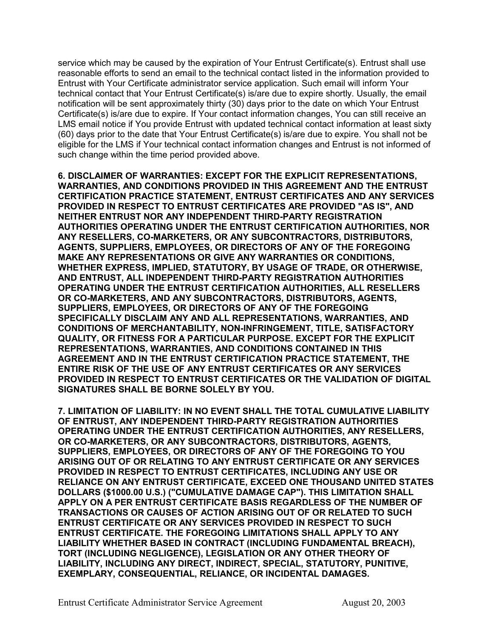service which may be caused by the expiration of Your Entrust Certificate(s). Entrust shall use reasonable efforts to send an email to the technical contact listed in the information provided to Entrust with Your Certificate administrator service application. Such email will inform Your technical contact that Your Entrust Certificate(s) is/are due to expire shortly. Usually, the email notification will be sent approximately thirty (30) days prior to the date on which Your Entrust Certificate(s) is/are due to expire. If Your contact information changes, You can still receive an LMS email notice if You provide Entrust with updated technical contact information at least sixty (60) days prior to the date that Your Entrust Certificate(s) is/are due to expire. You shall not be eligible for the LMS if Your technical contact information changes and Entrust is not informed of such change within the time period provided above.

**6. DISCLAIMER OF WARRANTIES: EXCEPT FOR THE EXPLICIT REPRESENTATIONS, WARRANTIES, AND CONDITIONS PROVIDED IN THIS AGREEMENT AND THE ENTRUST CERTIFICATION PRACTICE STATEMENT, ENTRUST CERTIFICATES AND ANY SERVICES PROVIDED IN RESPECT TO ENTRUST CERTIFICATES ARE PROVIDED "AS IS", AND NEITHER ENTRUST NOR ANY INDEPENDENT THIRD-PARTY REGISTRATION AUTHORITIES OPERATING UNDER THE ENTRUST CERTIFICATION AUTHORITIES, NOR ANY RESELLERS, CO-MARKETERS, OR ANY SUBCONTRACTORS, DISTRIBUTORS, AGENTS, SUPPLIERS, EMPLOYEES, OR DIRECTORS OF ANY OF THE FOREGOING MAKE ANY REPRESENTATIONS OR GIVE ANY WARRANTIES OR CONDITIONS, WHETHER EXPRESS, IMPLIED, STATUTORY, BY USAGE OF TRADE, OR OTHERWISE, AND ENTRUST, ALL INDEPENDENT THIRD-PARTY REGISTRATION AUTHORITIES OPERATING UNDER THE ENTRUST CERTIFICATION AUTHORITIES, ALL RESELLERS OR CO-MARKETERS, AND ANY SUBCONTRACTORS, DISTRIBUTORS, AGENTS, SUPPLIERS, EMPLOYEES, OR DIRECTORS OF ANY OF THE FOREGOING SPECIFICALLY DISCLAIM ANY AND ALL REPRESENTATIONS, WARRANTIES, AND CONDITIONS OF MERCHANTABILITY, NON-INFRINGEMENT, TITLE, SATISFACTORY QUALITY, OR FITNESS FOR A PARTICULAR PURPOSE. EXCEPT FOR THE EXPLICIT REPRESENTATIONS, WARRANTIES, AND CONDITIONS CONTAINED IN THIS AGREEMENT AND IN THE ENTRUST CERTIFICATION PRACTICE STATEMENT, THE ENTIRE RISK OF THE USE OF ANY ENTRUST CERTIFICATES OR ANY SERVICES PROVIDED IN RESPECT TO ENTRUST CERTIFICATES OR THE VALIDATION OF DIGITAL SIGNATURES SHALL BE BORNE SOLELY BY YOU.** 

**7. LIMITATION OF LIABILITY: IN NO EVENT SHALL THE TOTAL CUMULATIVE LIABILITY OF ENTRUST, ANY INDEPENDENT THIRD-PARTY REGISTRATION AUTHORITIES OPERATING UNDER THE ENTRUST CERTIFICATION AUTHORITIES, ANY RESELLERS, OR CO-MARKETERS, OR ANY SUBCONTRACTORS, DISTRIBUTORS, AGENTS, SUPPLIERS, EMPLOYEES, OR DIRECTORS OF ANY OF THE FOREGOING TO YOU ARISING OUT OF OR RELATING TO ANY ENTRUST CERTIFICATE OR ANY SERVICES PROVIDED IN RESPECT TO ENTRUST CERTIFICATES, INCLUDING ANY USE OR RELIANCE ON ANY ENTRUST CERTIFICATE, EXCEED ONE THOUSAND UNITED STATES DOLLARS (\$1000.00 U.S.) ("CUMULATIVE DAMAGE CAP"). THIS LIMITATION SHALL APPLY ON A PER ENTRUST CERTIFICATE BASIS REGARDLESS OF THE NUMBER OF TRANSACTIONS OR CAUSES OF ACTION ARISING OUT OF OR RELATED TO SUCH ENTRUST CERTIFICATE OR ANY SERVICES PROVIDED IN RESPECT TO SUCH ENTRUST CERTIFICATE. THE FOREGOING LIMITATIONS SHALL APPLY TO ANY LIABILITY WHETHER BASED IN CONTRACT (INCLUDING FUNDAMENTAL BREACH), TORT (INCLUDING NEGLIGENCE), LEGISLATION OR ANY OTHER THEORY OF LIABILITY, INCLUDING ANY DIRECT, INDIRECT, SPECIAL, STATUTORY, PUNITIVE, EXEMPLARY, CONSEQUENTIAL, RELIANCE, OR INCIDENTAL DAMAGES.**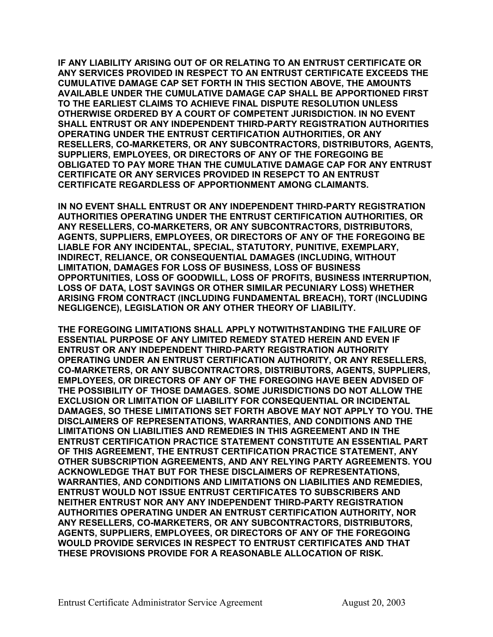**IF ANY LIABILITY ARISING OUT OF OR RELATING TO AN ENTRUST CERTIFICATE OR ANY SERVICES PROVIDED IN RESPECT TO AN ENTRUST CERTIFICATE EXCEEDS THE CUMULATIVE DAMAGE CAP SET FORTH IN THIS SECTION ABOVE, THE AMOUNTS AVAILABLE UNDER THE CUMULATIVE DAMAGE CAP SHALL BE APPORTIONED FIRST TO THE EARLIEST CLAIMS TO ACHIEVE FINAL DISPUTE RESOLUTION UNLESS OTHERWISE ORDERED BY A COURT OF COMPETENT JURISDICTION. IN NO EVENT SHALL ENTRUST OR ANY INDEPENDENT THIRD-PARTY REGISTRATION AUTHORITIES OPERATING UNDER THE ENTRUST CERTIFICATION AUTHORITIES, OR ANY RESELLERS, CO-MARKETERS, OR ANY SUBCONTRACTORS, DISTRIBUTORS, AGENTS, SUPPLIERS, EMPLOYEES, OR DIRECTORS OF ANY OF THE FOREGOING BE OBLIGATED TO PAY MORE THAN THE CUMULATIVE DAMAGE CAP FOR ANY ENTRUST CERTIFICATE OR ANY SERVICES PROVIDED IN RESEPCT TO AN ENTRUST CERTIFICATE REGARDLESS OF APPORTIONMENT AMONG CLAIMANTS.** 

**IN NO EVENT SHALL ENTRUST OR ANY INDEPENDENT THIRD-PARTY REGISTRATION AUTHORITIES OPERATING UNDER THE ENTRUST CERTIFICATION AUTHORITIES, OR ANY RESELLERS, CO-MARKETERS, OR ANY SUBCONTRACTORS, DISTRIBUTORS, AGENTS, SUPPLIERS, EMPLOYEES, OR DIRECTORS OF ANY OF THE FOREGOING BE LIABLE FOR ANY INCIDENTAL, SPECIAL, STATUTORY, PUNITIVE, EXEMPLARY, INDIRECT, RELIANCE, OR CONSEQUENTIAL DAMAGES (INCLUDING, WITHOUT LIMITATION, DAMAGES FOR LOSS OF BUSINESS, LOSS OF BUSINESS OPPORTUNITIES, LOSS OF GOODWILL, LOSS OF PROFITS, BUSINESS INTERRUPTION, LOSS OF DATA, LOST SAVINGS OR OTHER SIMILAR PECUNIARY LOSS) WHETHER ARISING FROM CONTRACT (INCLUDING FUNDAMENTAL BREACH), TORT (INCLUDING NEGLIGENCE), LEGISLATION OR ANY OTHER THEORY OF LIABILITY.** 

**THE FOREGOING LIMITATIONS SHALL APPLY NOTWITHSTANDING THE FAILURE OF ESSENTIAL PURPOSE OF ANY LIMITED REMEDY STATED HEREIN AND EVEN IF ENTRUST OR ANY INDEPENDENT THIRD-PARTY REGISTRATION AUTHORITY OPERATING UNDER AN ENTRUST CERTIFICATION AUTHORITY, OR ANY RESELLERS, CO-MARKETERS, OR ANY SUBCONTRACTORS, DISTRIBUTORS, AGENTS, SUPPLIERS, EMPLOYEES, OR DIRECTORS OF ANY OF THE FOREGOING HAVE BEEN ADVISED OF THE POSSIBILITY OF THOSE DAMAGES. SOME JURISDICTIONS DO NOT ALLOW THE EXCLUSION OR LIMITATION OF LIABILITY FOR CONSEQUENTIAL OR INCIDENTAL DAMAGES, SO THESE LIMITATIONS SET FORTH ABOVE MAY NOT APPLY TO YOU. THE DISCLAIMERS OF REPRESENTATIONS, WARRANTIES, AND CONDITIONS AND THE LIMITATIONS ON LIABILITIES AND REMEDIES IN THIS AGREEMENT AND IN THE ENTRUST CERTIFICATION PRACTICE STATEMENT CONSTITUTE AN ESSENTIAL PART OF THIS AGREEMENT, THE ENTRUST CERTIFICATION PRACTICE STATEMENT, ANY OTHER SUBSCRIPTION AGREEMENTS, AND ANY RELYING PARTY AGREEMENTS. YOU ACKNOWLEDGE THAT BUT FOR THESE DISCLAIMERS OF REPRESENTATIONS, WARRANTIES, AND CONDITIONS AND LIMITATIONS ON LIABILITIES AND REMEDIES, ENTRUST WOULD NOT ISSUE ENTRUST CERTIFICATES TO SUBSCRIBERS AND NEITHER ENTRUST NOR ANY ANY INDEPENDENT THIRD-PARTY REGISTRATION AUTHORITIES OPERATING UNDER AN ENTRUST CERTIFICATION AUTHORITY, NOR ANY RESELLERS, CO-MARKETERS, OR ANY SUBCONTRACTORS, DISTRIBUTORS, AGENTS, SUPPLIERS, EMPLOYEES, OR DIRECTORS OF ANY OF THE FOREGOING WOULD PROVIDE SERVICES IN RESPECT TO ENTRUST CERTIFICATES AND THAT THESE PROVISIONS PROVIDE FOR A REASONABLE ALLOCATION OF RISK.**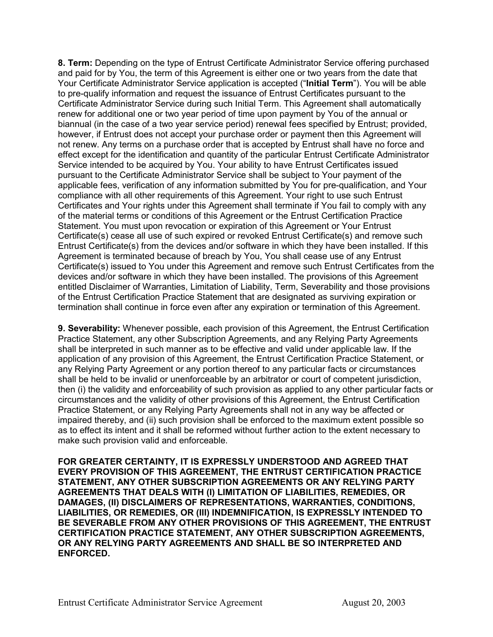**8. Term:** Depending on the type of Entrust Certificate Administrator Service offering purchased and paid for by You, the term of this Agreement is either one or two years from the date that Your Certificate Administrator Service application is accepted ("**Initial Term**"). You will be able to pre-qualify information and request the issuance of Entrust Certificates pursuant to the Certificate Administrator Service during such Initial Term. This Agreement shall automatically renew for additional one or two year period of time upon payment by You of the annual or biannual (in the case of a two year service period) renewal fees specified by Entrust; provided, however, if Entrust does not accept your purchase order or payment then this Agreement will not renew. Any terms on a purchase order that is accepted by Entrust shall have no force and effect except for the identification and quantity of the particular Entrust Certificate Administrator Service intended to be acquired by You. Your ability to have Entrust Certificates issued pursuant to the Certificate Administrator Service shall be subject to Your payment of the applicable fees, verification of any information submitted by You for pre-qualification, and Your compliance with all other requirements of this Agreement. Your right to use such Entrust Certificates and Your rights under this Agreement shall terminate if You fail to comply with any of the material terms or conditions of this Agreement or the Entrust Certification Practice Statement. You must upon revocation or expiration of this Agreement or Your Entrust Certificate(s) cease all use of such expired or revoked Entrust Certificate(s) and remove such Entrust Certificate(s) from the devices and/or software in which they have been installed. If this Agreement is terminated because of breach by You, You shall cease use of any Entrust Certificate(s) issued to You under this Agreement and remove such Entrust Certificates from the devices and/or software in which they have been installed. The provisions of this Agreement entitled Disclaimer of Warranties, Limitation of Liability, Term, Severability and those provisions of the Entrust Certification Practice Statement that are designated as surviving expiration or termination shall continue in force even after any expiration or termination of this Agreement.

**9. Severability:** Whenever possible, each provision of this Agreement, the Entrust Certification Practice Statement, any other Subscription Agreements, and any Relying Party Agreements shall be interpreted in such manner as to be effective and valid under applicable law. If the application of any provision of this Agreement, the Entrust Certification Practice Statement, or any Relying Party Agreement or any portion thereof to any particular facts or circumstances shall be held to be invalid or unenforceable by an arbitrator or court of competent jurisdiction, then (i) the validity and enforceability of such provision as applied to any other particular facts or circumstances and the validity of other provisions of this Agreement, the Entrust Certification Practice Statement, or any Relying Party Agreements shall not in any way be affected or impaired thereby, and (ii) such provision shall be enforced to the maximum extent possible so as to effect its intent and it shall be reformed without further action to the extent necessary to make such provision valid and enforceable.

**FOR GREATER CERTAINTY, IT IS EXPRESSLY UNDERSTOOD AND AGREED THAT EVERY PROVISION OF THIS AGREEMENT, THE ENTRUST CERTIFICATION PRACTICE STATEMENT, ANY OTHER SUBSCRIPTION AGREEMENTS OR ANY RELYING PARTY AGREEMENTS THAT DEALS WITH (I) LIMITATION OF LIABILITIES, REMEDIES, OR DAMAGES, (II) DISCLAIMERS OF REPRESENTATIONS, WARRANTIES, CONDITIONS, LIABILITIES, OR REMEDIES, OR (III) INDEMNIFICATION, IS EXPRESSLY INTENDED TO BE SEVERABLE FROM ANY OTHER PROVISIONS OF THIS AGREEMENT, THE ENTRUST CERTIFICATION PRACTICE STATEMENT, ANY OTHER SUBSCRIPTION AGREEMENTS, OR ANY RELYING PARTY AGREEMENTS AND SHALL BE SO INTERPRETED AND ENFORCED.**